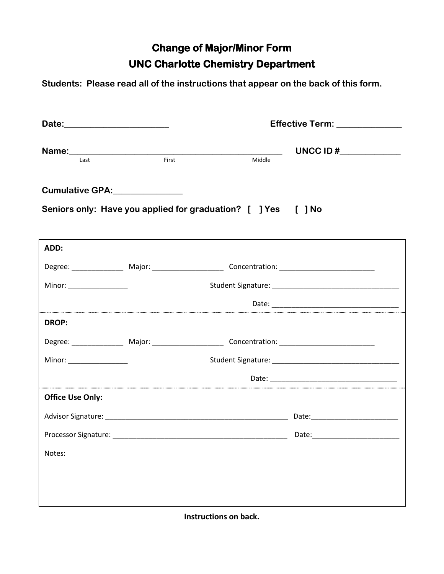## **Change of Major/Minor Form UNC Charlotte Chemistry Department**

**Students: Please read all of the instructions that appear on the back of this form.**

|                                                         | Date: _______________________ |                                                                                                     | Effective Term: ______________                                                                                                                                                                                                 |
|---------------------------------------------------------|-------------------------------|-----------------------------------------------------------------------------------------------------|--------------------------------------------------------------------------------------------------------------------------------------------------------------------------------------------------------------------------------|
| Last                                                    | First                         | Middle                                                                                              | UNCC ID $\sharp$                                                                                                                                                                                                               |
| Cumulative GPA:______________                           |                               |                                                                                                     |                                                                                                                                                                                                                                |
|                                                         |                               | Seniors only: Have you applied for graduation? [ ] Yes [ ] No                                       |                                                                                                                                                                                                                                |
| ADD:                                                    |                               |                                                                                                     |                                                                                                                                                                                                                                |
|                                                         |                               |                                                                                                     |                                                                                                                                                                                                                                |
| Minor: ________________                                 |                               |                                                                                                     |                                                                                                                                                                                                                                |
|                                                         |                               |                                                                                                     |                                                                                                                                                                                                                                |
| <b>DROP:</b>                                            |                               |                                                                                                     |                                                                                                                                                                                                                                |
|                                                         |                               | Degree: _________________ Major: _______________________ Concentration: ___________________________ |                                                                                                                                                                                                                                |
| Minor: $\frac{1}{\sqrt{1-\frac{1}{2}}\cdot\frac{1}{2}}$ |                               |                                                                                                     |                                                                                                                                                                                                                                |
|                                                         |                               |                                                                                                     | Date: the contract of the contract of the contract of the contract of the contract of the contract of the contract of the contract of the contract of the contract of the contract of the contract of the contract of the cont |
| <b>Office Use Only:</b>                                 |                               |                                                                                                     |                                                                                                                                                                                                                                |
|                                                         |                               |                                                                                                     |                                                                                                                                                                                                                                |
|                                                         |                               |                                                                                                     |                                                                                                                                                                                                                                |
| Notes:                                                  |                               |                                                                                                     |                                                                                                                                                                                                                                |
|                                                         |                               |                                                                                                     |                                                                                                                                                                                                                                |
|                                                         |                               |                                                                                                     |                                                                                                                                                                                                                                |
|                                                         |                               |                                                                                                     |                                                                                                                                                                                                                                |

**Instructions on back.**